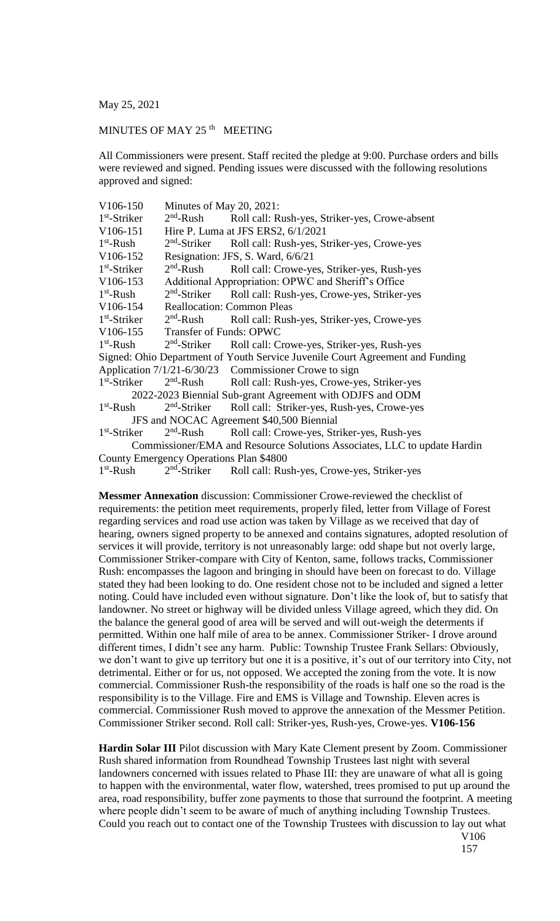May 25, 2021

## MINUTES OF MAY 25<sup>th</sup> MEETING

All Commissioners were present. Staff recited the pledge at 9:00. Purchase orders and bills were reviewed and signed. Pending issues were discussed with the following resolutions approved and signed:

| V106-150                                                                      | Minutes of May 20, 2021:                            |                                                                                                                                                                        |
|-------------------------------------------------------------------------------|-----------------------------------------------------|------------------------------------------------------------------------------------------------------------------------------------------------------------------------|
| $1st$ -Striker                                                                | $2nd$ -Rush                                         | Roll call: Rush-yes, Striker-yes, Crowe-absent                                                                                                                         |
| V106-151                                                                      | Hire P. Luma at JFS ERS2, 6/1/2021                  |                                                                                                                                                                        |
| $1st$ -Rush                                                                   |                                                     | 2 <sup>nd</sup> -Striker Roll call: Rush-yes, Striker-yes, Crowe-yes                                                                                                   |
| V106-152                                                                      | Resignation: JFS, S. Ward, 6/6/21                   |                                                                                                                                                                        |
| $1st$ -Striker                                                                | $2nd$ -Rush                                         | Roll call: Crowe-yes, Striker-yes, Rush-yes                                                                                                                            |
| V106-153                                                                      | Additional Appropriation: OPWC and Sheriff's Office |                                                                                                                                                                        |
| $1st$ -Rush                                                                   |                                                     | 2 <sup>nd</sup> -Striker Roll call: Rush-yes, Crowe-yes, Striker-yes                                                                                                   |
| V106-154                                                                      | <b>Reallocation: Common Pleas</b>                   |                                                                                                                                                                        |
| $1st$ -Striker                                                                | $2nd$ -Rush                                         | Roll call: Rush-yes, Striker-yes, Crowe-yes                                                                                                                            |
|                                                                               | V106-155 Transfer of Funds: OPWC                    |                                                                                                                                                                        |
| $1st$ -Rush $2nd$ -Striker                                                    |                                                     | Roll call: Crowe-yes, Striker-yes, Rush-yes                                                                                                                            |
| Signed: Ohio Department of Youth Service Juvenile Court Agreement and Funding |                                                     |                                                                                                                                                                        |
|                                                                               |                                                     | Application 7/1/21-6/30/23 Commissioner Crowe to sign                                                                                                                  |
| $1st$ -Striker                                                                |                                                     | 2 <sup>nd</sup> -Rush Roll call: Rush-yes, Crowe-yes, Striker-yes                                                                                                      |
|                                                                               |                                                     | 2022-2023 Biennial Sub-grant Agreement with ODJFS and ODM                                                                                                              |
| $1st$ -Rush                                                                   |                                                     | 2 <sup>nd</sup> -Striker Roll call: Striker-yes, Rush-yes, Crowe-yes                                                                                                   |
|                                                                               |                                                     | JFS and NOCAC Agreement \$40,500 Biennial                                                                                                                              |
| $1st$ -Striker                                                                |                                                     | 2 <sup>nd</sup> -Rush Roll call: Crowe-yes, Striker-yes, Rush-yes                                                                                                      |
|                                                                               |                                                     | Commissioner/EMA and Resource Solutions Associates, LLC to update Hardin                                                                                               |
|                                                                               | County Emergency Operations Plan \$4800             |                                                                                                                                                                        |
|                                                                               |                                                     | $15^{\circ}$ $\mathbf{D}$ $\mathbf{11}$ $\mathbf{D}$ $\mathbf{11}$ $\mathbf{D}$ $\mathbf{11}$ $\mathbf{D}$ $\mathbf{1}$ $\mathbf{C}$<br>$\sim$ $\cdot$ $\cdot$ $\cdot$ |

 $1<sup>st</sup>$ -Rush 2  $2<sup>na</sup>$ -Striker Roll call: Rush-yes, Crowe-yes, Striker-yes

**Messmer Annexation** discussion: Commissioner Crowe-reviewed the checklist of requirements: the petition meet requirements, properly filed, letter from Village of Forest regarding services and road use action was taken by Village as we received that day of hearing, owners signed property to be annexed and contains signatures, adopted resolution of services it will provide, territory is not unreasonably large: odd shape but not overly large, Commissioner Striker-compare with City of Kenton, same, follows tracks, Commissioner Rush: encompasses the lagoon and bringing in should have been on forecast to do. Village stated they had been looking to do. One resident chose not to be included and signed a letter noting. Could have included even without signature. Don't like the look of, but to satisfy that landowner. No street or highway will be divided unless Village agreed, which they did. On the balance the general good of area will be served and will out-weigh the determents if permitted. Within one half mile of area to be annex. Commissioner Striker- I drove around different times, I didn't see any harm. Public: Township Trustee Frank Sellars: Obviously, we don't want to give up territory but one it is a positive, it's out of our territory into City, not detrimental. Either or for us, not opposed. We accepted the zoning from the vote. It is now commercial. Commissioner Rush-the responsibility of the roads is half one so the road is the responsibility is to the Village. Fire and EMS is Village and Township. Eleven acres is commercial. Commissioner Rush moved to approve the annexation of the Messmer Petition. Commissioner Striker second. Roll call: Striker-yes, Rush-yes, Crowe-yes. **V106-156**

**Hardin Solar III** Pilot discussion with Mary Kate Clement present by Zoom. Commissioner Rush shared information from Roundhead Township Trustees last night with several landowners concerned with issues related to Phase III: they are unaware of what all is going to happen with the environmental, water flow, watershed, trees promised to put up around the area, road responsibility, buffer zone payments to those that surround the footprint. A meeting where people didn't seem to be aware of much of anything including Township Trustees. Could you reach out to contact one of the Township Trustees with discussion to lay out what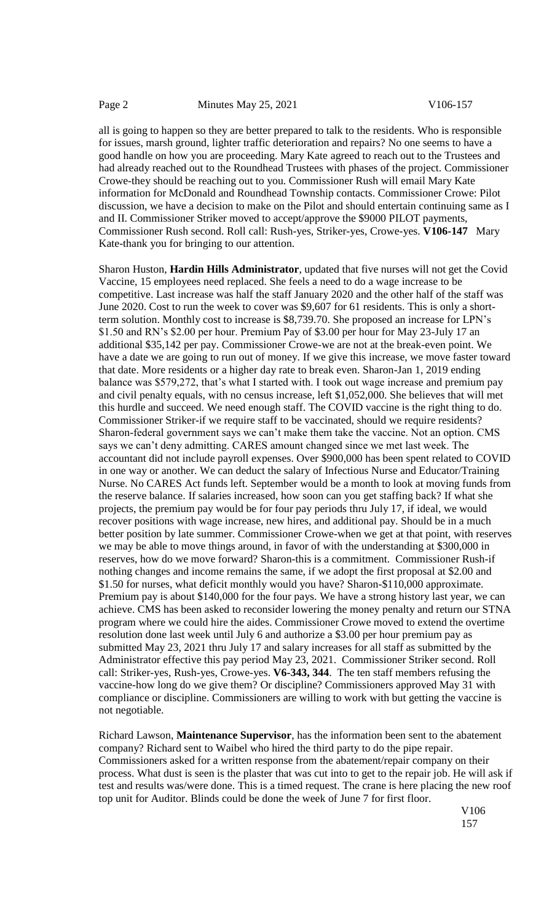all is going to happen so they are better prepared to talk to the residents. Who is responsible for issues, marsh ground, lighter traffic deterioration and repairs? No one seems to have a good handle on how you are proceeding. Mary Kate agreed to reach out to the Trustees and had already reached out to the Roundhead Trustees with phases of the project. Commissioner Crowe-they should be reaching out to you. Commissioner Rush will email Mary Kate information for McDonald and Roundhead Township contacts. Commissioner Crowe: Pilot discussion, we have a decision to make on the Pilot and should entertain continuing same as I and II. Commissioner Striker moved to accept/approve the \$9000 PILOT payments, Commissioner Rush second. Roll call: Rush-yes, Striker-yes, Crowe-yes. **V106-147** Mary Kate-thank you for bringing to our attention.

Sharon Huston, **Hardin Hills Administrator**, updated that five nurses will not get the Covid Vaccine, 15 employees need replaced. She feels a need to do a wage increase to be competitive. Last increase was half the staff January 2020 and the other half of the staff was June 2020. Cost to run the week to cover was \$9,607 for 61 residents. This is only a shortterm solution. Monthly cost to increase is \$8,739.70. She proposed an increase for LPN's \$1.50 and RN's \$2.00 per hour. Premium Pay of \$3.00 per hour for May 23-July 17 an additional \$35,142 per pay. Commissioner Crowe-we are not at the break-even point. We have a date we are going to run out of money. If we give this increase, we move faster toward that date. More residents or a higher day rate to break even. Sharon-Jan 1, 2019 ending balance was \$579,272, that's what I started with. I took out wage increase and premium pay and civil penalty equals, with no census increase, left \$1,052,000. She believes that will met this hurdle and succeed. We need enough staff. The COVID vaccine is the right thing to do. Commissioner Striker-if we require staff to be vaccinated, should we require residents? Sharon-federal government says we can't make them take the vaccine. Not an option. CMS says we can't deny admitting. CARES amount changed since we met last week. The accountant did not include payroll expenses. Over \$900,000 has been spent related to COVID in one way or another. We can deduct the salary of Infectious Nurse and Educator/Training Nurse. No CARES Act funds left. September would be a month to look at moving funds from the reserve balance. If salaries increased, how soon can you get staffing back? If what she projects, the premium pay would be for four pay periods thru July 17, if ideal, we would recover positions with wage increase, new hires, and additional pay. Should be in a much better position by late summer. Commissioner Crowe-when we get at that point, with reserves we may be able to move things around, in favor of with the understanding at \$300,000 in reserves, how do we move forward? Sharon-this is a commitment. Commissioner Rush-if nothing changes and income remains the same, if we adopt the first proposal at \$2.00 and \$1.50 for nurses, what deficit monthly would you have? Sharon-\$110,000 approximate. Premium pay is about \$140,000 for the four pays. We have a strong history last year, we can achieve. CMS has been asked to reconsider lowering the money penalty and return our STNA program where we could hire the aides. Commissioner Crowe moved to extend the overtime resolution done last week until July 6 and authorize a \$3.00 per hour premium pay as submitted May 23, 2021 thru July 17 and salary increases for all staff as submitted by the Administrator effective this pay period May 23, 2021. Commissioner Striker second. Roll call: Striker-yes, Rush-yes, Crowe-yes. **V6-343, 344**. The ten staff members refusing the vaccine-how long do we give them? Or discipline? Commissioners approved May 31 with compliance or discipline. Commissioners are willing to work with but getting the vaccine is not negotiable.

Richard Lawson, **Maintenance Supervisor**, has the information been sent to the abatement company? Richard sent to Waibel who hired the third party to do the pipe repair. Commissioners asked for a written response from the abatement/repair company on their process. What dust is seen is the plaster that was cut into to get to the repair job. He will ask if test and results was/were done. This is a timed request. The crane is here placing the new roof top unit for Auditor. Blinds could be done the week of June 7 for first floor.

> V106 157